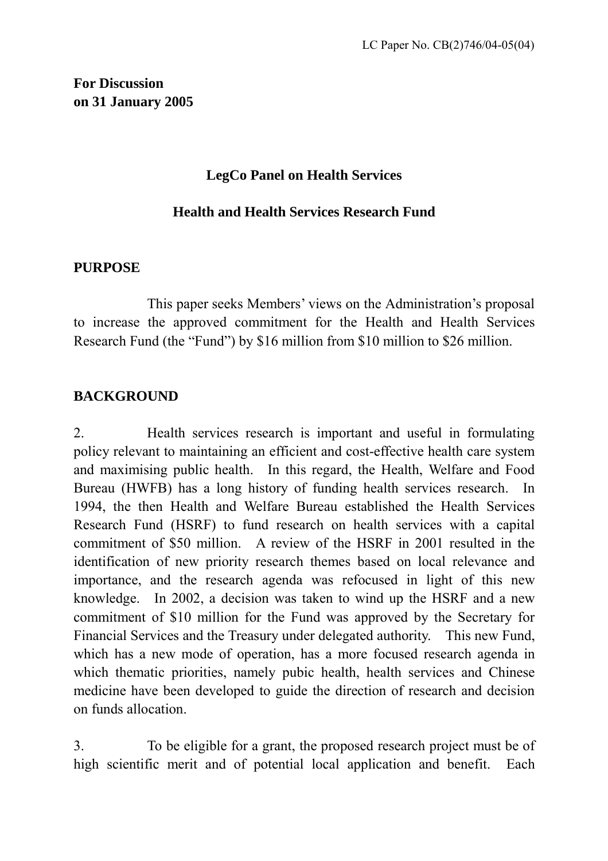## **For Discussion on 31 January 2005**

## **LegCo Panel on Health Services**

## **Health and Health Services Research Fund**

### **PURPOSE**

 This paper seeks Members' views on the Administration's proposal to increase the approved commitment for the Health and Health Services Research Fund (the "Fund") by \$16 million from \$10 million to \$26 million.

## **BACKGROUND**

2. Health services research is important and useful in formulating policy relevant to maintaining an efficient and cost-effective health care system and maximising public health. In this regard, the Health, Welfare and Food Bureau (HWFB) has a long history of funding health services research. In 1994, the then Health and Welfare Bureau established the Health Services Research Fund (HSRF) to fund research on health services with a capital commitment of \$50 million. A review of the HSRF in 2001 resulted in the identification of new priority research themes based on local relevance and importance, and the research agenda was refocused in light of this new knowledge. In 2002, a decision was taken to wind up the HSRF and a new commitment of \$10 million for the Fund was approved by the Secretary for Financial Services and the Treasury under delegated authority. This new Fund, which has a new mode of operation, has a more focused research agenda in which thematic priorities, namely pubic health, health services and Chinese medicine have been developed to guide the direction of research and decision on funds allocation.

3. To be eligible for a grant, the proposed research project must be of high scientific merit and of potential local application and benefit. Each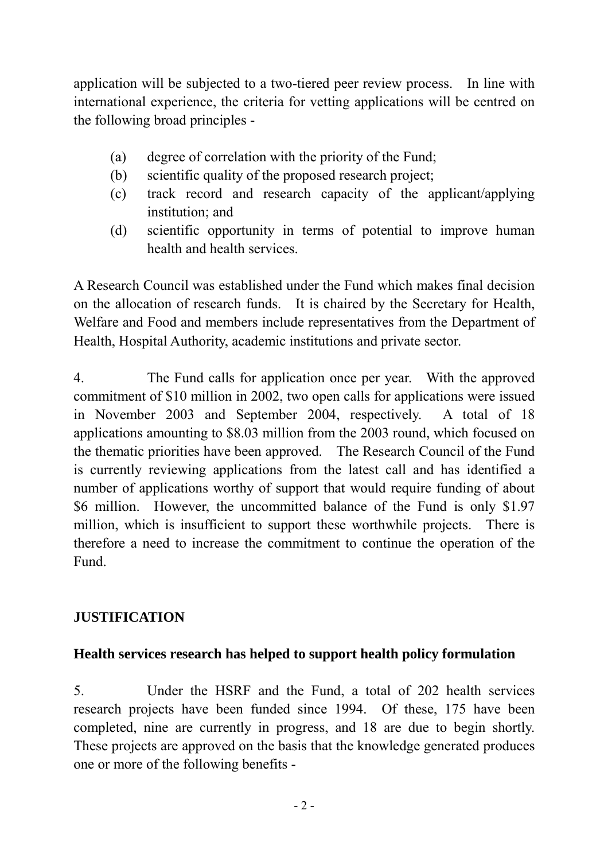application will be subjected to a two-tiered peer review process. In line with international experience, the criteria for vetting applications will be centred on the following broad principles -

- (a) degree of correlation with the priority of the Fund;
- (b) scientific quality of the proposed research project;
- (c) track record and research capacity of the applicant/applying institution; and
- (d) scientific opportunity in terms of potential to improve human health and health services.

A Research Council was established under the Fund which makes final decision on the allocation of research funds. It is chaired by the Secretary for Health, Welfare and Food and members include representatives from the Department of Health, Hospital Authority, academic institutions and private sector.

4. The Fund calls for application once per year. With the approved commitment of \$10 million in 2002, two open calls for applications were issued in November 2003 and September 2004, respectively. A total of 18 applications amounting to \$8.03 million from the 2003 round, which focused on the thematic priorities have been approved. The Research Council of the Fund is currently reviewing applications from the latest call and has identified a number of applications worthy of support that would require funding of about \$6 million. However, the uncommitted balance of the Fund is only \$1.97 million, which is insufficient to support these worthwhile projects. There is therefore a need to increase the commitment to continue the operation of the Fund.

## **JUSTIFICATION**

## **Health services research has helped to support health policy formulation**

5. Under the HSRF and the Fund, a total of 202 health services research projects have been funded since 1994. Of these, 175 have been completed, nine are currently in progress, and 18 are due to begin shortly. These projects are approved on the basis that the knowledge generated produces one or more of the following benefits -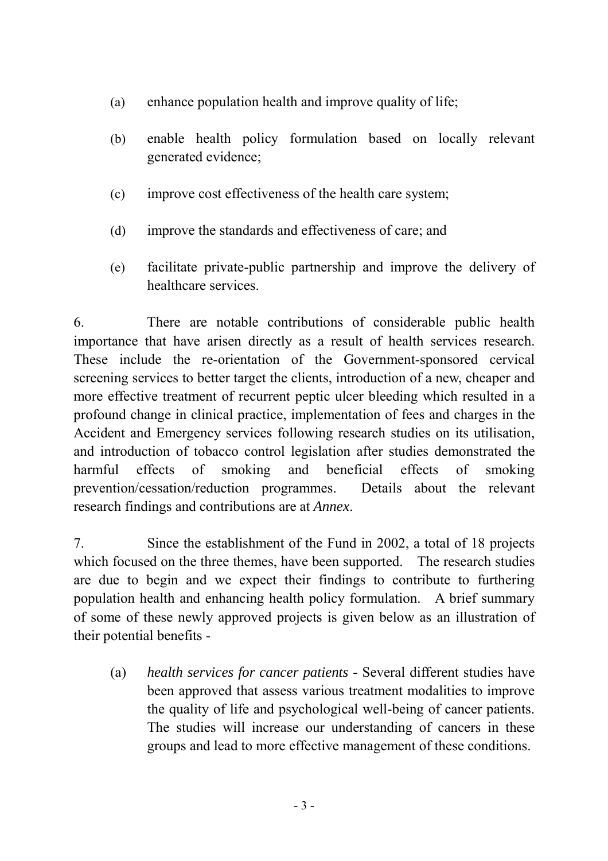- (a) enhance population health and improve quality of life;
- (b) enable health policy formulation based on locally relevant generated evidence;
- (c) improve cost effectiveness of the health care system;
- (d) improve the standards and effectiveness of care; and
- (e) facilitate private-public partnership and improve the delivery of healthcare services.

6. There are notable contributions of considerable public health importance that have arisen directly as a result of health services research. These include the re-orientation of the Government-sponsored cervical screening services to better target the clients, introduction of a new, cheaper and more effective treatment of recurrent peptic ulcer bleeding which resulted in a profound change in clinical practice, implementation of fees and charges in the Accident and Emergency services following research studies on its utilisation, and introduction of tobacco control legislation after studies demonstrated the harmful effects of smoking and beneficial effects of smoking prevention/cessation/reduction programmes. Details about the relevant research findings and contributions are at *Annex*.

7. Since the establishment of the Fund in 2002, a total of 18 projects which focused on the three themes, have been supported. The research studies are due to begin and we expect their findings to contribute to furthering population health and enhancing health policy formulation. A brief summary of some of these newly approved projects is given below as an illustration of their potential benefits -

(a) *health services for cancer patients -* Several different studies have been approved that assess various treatment modalities to improve the quality of life and psychological well-being of cancer patients. The studies will increase our understanding of cancers in these groups and lead to more effective management of these conditions.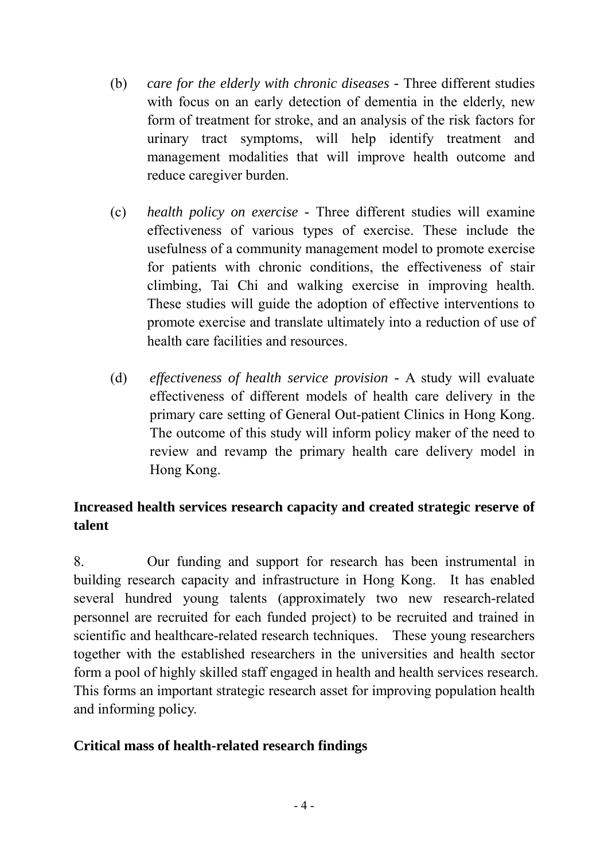- (b) *care for the elderly with chronic diseases* Three different studies with focus on an early detection of dementia in the elderly, new form of treatment for stroke, and an analysis of the risk factors for urinary tract symptoms, will help identify treatment and management modalities that will improve health outcome and reduce caregiver burden.
- (c) *health policy on exercise* Three different studies will examine effectiveness of various types of exercise. These include the usefulness of a community management model to promote exercise for patients with chronic conditions, the effectiveness of stair climbing, Tai Chi and walking exercise in improving health. These studies will guide the adoption of effective interventions to promote exercise and translate ultimately into a reduction of use of health care facilities and resources.
- (d) *effectiveness of health service provision -* A study will evaluate effectiveness of different models of health care delivery in the primary care setting of General Out-patient Clinics in Hong Kong. The outcome of this study will inform policy maker of the need to review and revamp the primary health care delivery model in Hong Kong.

# **Increased health services research capacity and created strategic reserve of talent**

8. Our funding and support for research has been instrumental in building research capacity and infrastructure in Hong Kong. It has enabled several hundred young talents (approximately two new research-related personnel are recruited for each funded project) to be recruited and trained in scientific and healthcare-related research techniques. These young researchers together with the established researchers in the universities and health sector form a pool of highly skilled staff engaged in health and health services research. This forms an important strategic research asset for improving population health and informing policy.

## **Critical mass of health-related research findings**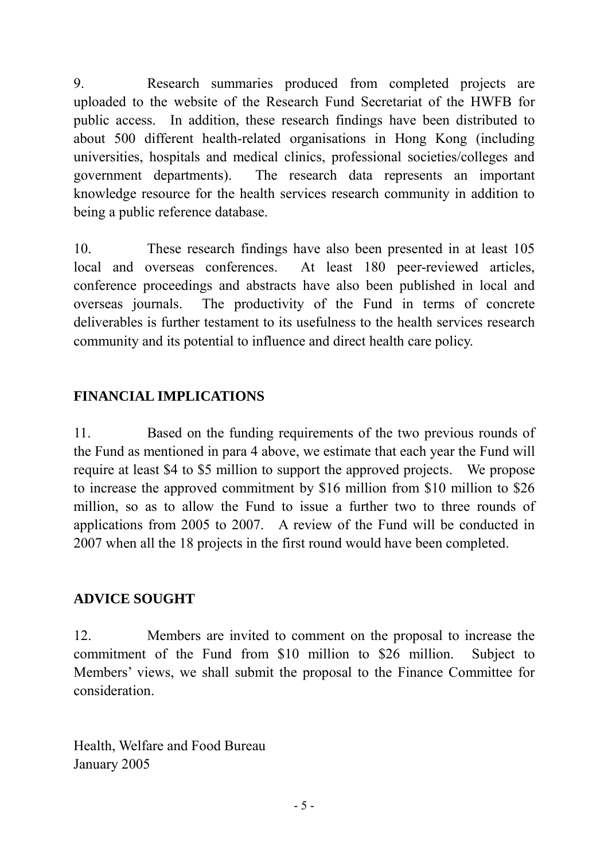9. Research summaries produced from completed projects are uploaded to the website of the Research Fund Secretariat of the HWFB for public access. In addition, these research findings have been distributed to about 500 different health-related organisations in Hong Kong (including universities, hospitals and medical clinics, professional societies/colleges and government departments). The research data represents an important knowledge resource for the health services research community in addition to being a public reference database.

10. These research findings have also been presented in at least 105 local and overseas conferences. At least 180 peer-reviewed articles, conference proceedings and abstracts have also been published in local and overseas journals. The productivity of the Fund in terms of concrete deliverables is further testament to its usefulness to the health services research community and its potential to influence and direct health care policy.

# **FINANCIAL IMPLICATIONS**

11. Based on the funding requirements of the two previous rounds of the Fund as mentioned in para 4 above, we estimate that each year the Fund will require at least \$4 to \$5 million to support the approved projects. We propose to increase the approved commitment by \$16 million from \$10 million to \$26 million, so as to allow the Fund to issue a further two to three rounds of applications from 2005 to 2007. A review of the Fund will be conducted in 2007 when all the 18 projects in the first round would have been completed.

## **ADVICE SOUGHT**

12. Members are invited to comment on the proposal to increase the commitment of the Fund from \$10 million to \$26 million. Subject to Members' views, we shall submit the proposal to the Finance Committee for consideration.

Health, Welfare and Food Bureau January 2005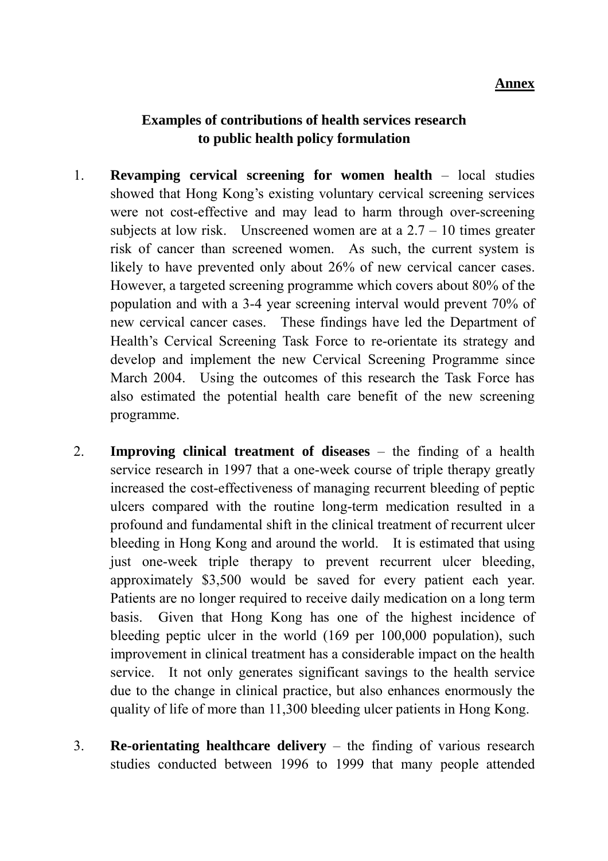#### **Annex**

## **Examples of contributions of health services research to public health policy formulation**

- 1. **Revamping cervical screening for women health** local studies showed that Hong Kong's existing voluntary cervical screening services were not cost-effective and may lead to harm through over-screening subjects at low risk. Unscreened women are at a  $2.7 - 10$  times greater risk of cancer than screened women. As such, the current system is likely to have prevented only about 26% of new cervical cancer cases. However, a targeted screening programme which covers about 80% of the population and with a 3-4 year screening interval would prevent 70% of new cervical cancer cases. These findings have led the Department of Health's Cervical Screening Task Force to re-orientate its strategy and develop and implement the new Cervical Screening Programme since March 2004. Using the outcomes of this research the Task Force has also estimated the potential health care benefit of the new screening programme.
- 2. **Improving clinical treatment of diseases** the finding of a health service research in 1997 that a one-week course of triple therapy greatly increased the cost-effectiveness of managing recurrent bleeding of peptic ulcers compared with the routine long-term medication resulted in a profound and fundamental shift in the clinical treatment of recurrent ulcer bleeding in Hong Kong and around the world. It is estimated that using just one-week triple therapy to prevent recurrent ulcer bleeding, approximately \$3,500 would be saved for every patient each year. Patients are no longer required to receive daily medication on a long term basis. Given that Hong Kong has one of the highest incidence of bleeding peptic ulcer in the world (169 per 100,000 population), such improvement in clinical treatment has a considerable impact on the health service. It not only generates significant savings to the health service due to the change in clinical practice, but also enhances enormously the quality of life of more than 11,300 bleeding ulcer patients in Hong Kong.
- 3. **Re-orientating healthcare delivery** the finding of various research studies conducted between 1996 to 1999 that many people attended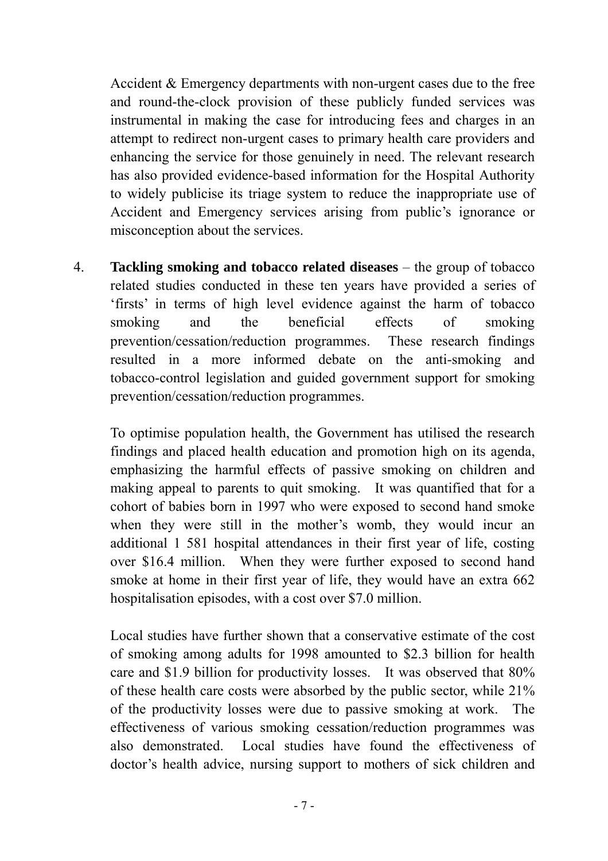Accident & Emergency departments with non-urgent cases due to the free and round-the-clock provision of these publicly funded services was instrumental in making the case for introducing fees and charges in an attempt to redirect non-urgent cases to primary health care providers and enhancing the service for those genuinely in need. The relevant research has also provided evidence-based information for the Hospital Authority to widely publicise its triage system to reduce the inappropriate use of Accident and Emergency services arising from public's ignorance or misconception about the services.

4. **Tackling smoking and tobacco related diseases** – the group of tobacco related studies conducted in these ten years have provided a series of 'firsts' in terms of high level evidence against the harm of tobacco smoking and the beneficial effects of smoking prevention/cessation/reduction programmes. These research findings resulted in a more informed debate on the anti-smoking and tobacco-control legislation and guided government support for smoking prevention/cessation/reduction programmes.

To optimise population health, the Government has utilised the research findings and placed health education and promotion high on its agenda, emphasizing the harmful effects of passive smoking on children and making appeal to parents to quit smoking. It was quantified that for a cohort of babies born in 1997 who were exposed to second hand smoke when they were still in the mother's womb, they would incur an additional 1 581 hospital attendances in their first year of life, costing over \$16.4 million. When they were further exposed to second hand smoke at home in their first year of life, they would have an extra 662 hospitalisation episodes, with a cost over \$7.0 million.

Local studies have further shown that a conservative estimate of the cost of smoking among adults for 1998 amounted to \$2.3 billion for health care and \$1.9 billion for productivity losses. It was observed that 80% of these health care costs were absorbed by the public sector, while 21% of the productivity losses were due to passive smoking at work. The effectiveness of various smoking cessation/reduction programmes was also demonstrated. Local studies have found the effectiveness of doctor's health advice, nursing support to mothers of sick children and